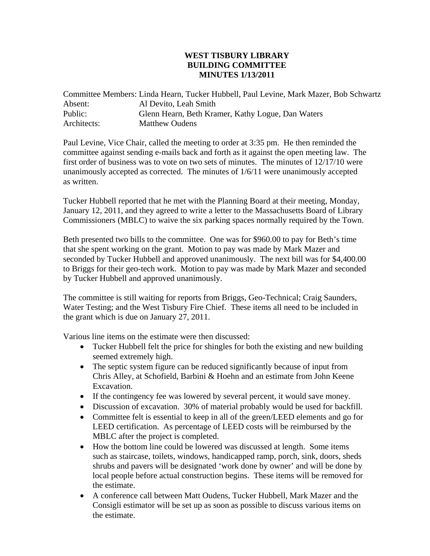## **WEST TISBURY LIBRARY BUILDING COMMITTEE MINUTES 1/13/2011**

Committee Members: Linda Hearn, Tucker Hubbell, Paul Levine, Mark Mazer, Bob Schwartz Absent: Al Devito, Leah Smith Public: Glenn Hearn, Beth Kramer, Kathy Logue, Dan Waters Architects: Matthew Oudens

Paul Levine, Vice Chair, called the meeting to order at 3:35 pm. He then reminded the committee against sending e-mails back and forth as it against the open meeting law. The first order of business was to vote on two sets of minutes. The minutes of 12/17/10 were unanimously accepted as corrected. The minutes of 1/6/11 were unanimously accepted as written.

Tucker Hubbell reported that he met with the Planning Board at their meeting, Monday, January 12, 2011, and they agreed to write a letter to the Massachusetts Board of Library Commissioners (MBLC) to waive the six parking spaces normally required by the Town.

Beth presented two bills to the committee. One was for \$960.00 to pay for Beth's time that she spent working on the grant. Motion to pay was made by Mark Mazer and seconded by Tucker Hubbell and approved unanimously. The next bill was for \$4,400.00 to Briggs for their geo-tech work. Motion to pay was made by Mark Mazer and seconded by Tucker Hubbell and approved unanimously.

The committee is still waiting for reports from Briggs, Geo-Technical; Craig Saunders, Water Testing; and the West Tisbury Fire Chief. These items all need to be included in the grant which is due on January 27, 2011.

Various line items on the estimate were then discussed:

- Tucker Hubbell felt the price for shingles for both the existing and new building seemed extremely high.
- The septic system figure can be reduced significantly because of input from Chris Alley, at Schofield, Barbini & Hoehn and an estimate from John Keene Excavation.
- If the contingency fee was lowered by several percent, it would save money.
- Discussion of excavation. 30% of material probably would be used for backfill.
- Committee felt is essential to keep in all of the green/LEED elements and go for LEED certification. As percentage of LEED costs will be reimbursed by the MBLC after the project is completed.
- How the bottom line could be lowered was discussed at length. Some items such as staircase, toilets, windows, handicapped ramp, porch, sink, doors, sheds shrubs and pavers will be designated 'work done by owner' and will be done by local people before actual construction begins. These items will be removed for the estimate.
- A conference call between Matt Oudens, Tucker Hubbell, Mark Mazer and the Consigli estimator will be set up as soon as possible to discuss various items on the estimate.